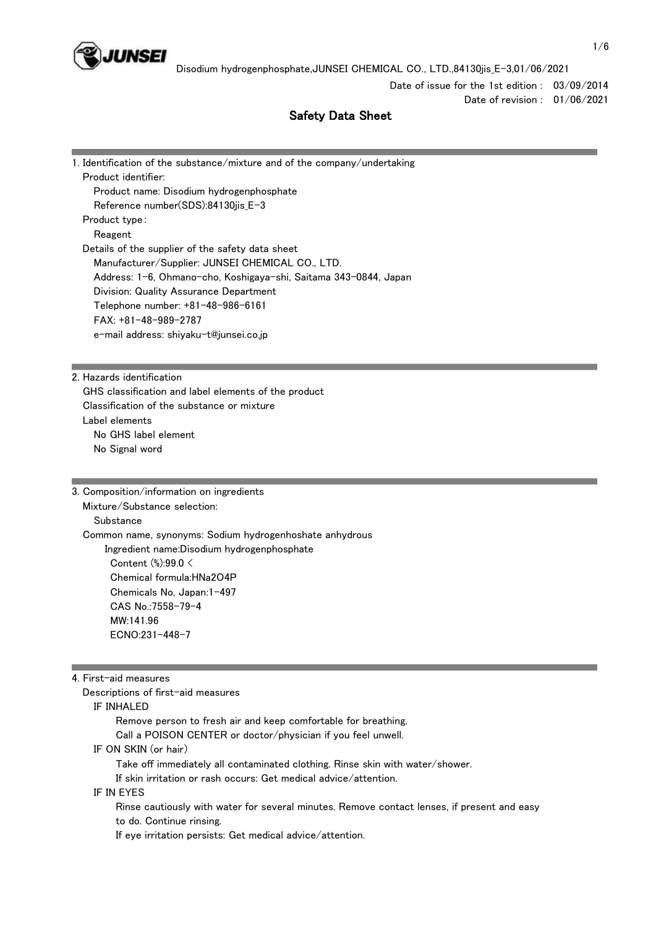

Date of issue for the 1st edition : 03/09/2014 Date of revision : 01/06/2021

# Safety Data Sheet

| 1. Identification of the substance/mixture and of the company/undertaking |
|---------------------------------------------------------------------------|
| Product identifier:                                                       |
| Product name: Disodium hydrogenphosphate                                  |
| Reference number(SDS):84130jis_E-3                                        |
| Product type:                                                             |
| Reagent                                                                   |
| Details of the supplier of the safety data sheet                          |
| Manufacturer/Supplier: JUNSEI CHEMICAL CO., LTD.                          |
| Address: 1-6, Ohmano-cho, Koshigaya-shi, Saitama 343-0844, Japan          |
| Division: Quality Assurance Department                                    |
| Telephone number: +81-48-986-6161                                         |
| $FAX: +81-48-989-2787$                                                    |
| e-mail address: shiyaku-t@junsei.co.jp                                    |
|                                                                           |

2. Hazards identification

 GHS classification and label elements of the product Classification of the substance or mixture Label elements No GHS label element No Signal word

3. Composition/information on ingredients Mixture/Substance selection: Substance Common name, synonyms: Sodium hydrogenhoshate anhydrous Ingredient name:Disodium hydrogenphosphate Content (%):99.0 < Chemical formula:HNa2O4P Chemicals No, Japan:1-497 CAS No.:7558-79-4 MW:141.96 ECNO:231-448-7

## 4. First-aid measures

Descriptions of first-aid measures

#### IF INHALED

Remove person to fresh air and keep comfortable for breathing.

Call a POISON CENTER or doctor/physician if you feel unwell.

IF ON SKIN (or hair)

Take off immediately all contaminated clothing. Rinse skin with water/shower.

If skin irritation or rash occurs: Get medical advice/attention.

## IF IN EYES

 Rinse cautiously with water for several minutes. Remove contact lenses, if present and easy to do. Continue rinsing.

If eye irritation persists: Get medical advice/attention.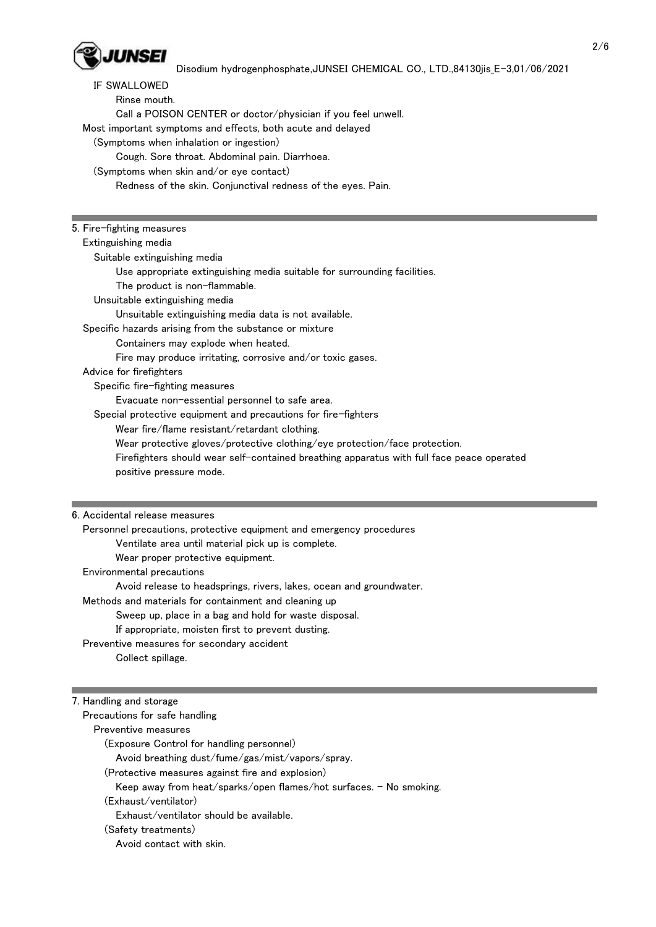

 IF SWALLOWED Rinse mouth. Call a POISON CENTER or doctor/physician if you feel unwell. Most important symptoms and effects, both acute and delayed (Symptoms when inhalation or ingestion) Cough. Sore throat. Abdominal pain. Diarrhoea. (Symptoms when skin and/or eye contact) Redness of the skin. Conjunctival redness of the eyes. Pain. 5. Fire-fighting measures Extinguishing media Suitable extinguishing media Use appropriate extinguishing media suitable for surrounding facilities. The product is non-flammable. Unsuitable extinguishing media Unsuitable extinguishing media data is not available. Specific hazards arising from the substance or mixture Containers may explode when heated. Fire may produce irritating, corrosive and/or toxic gases. Advice for firefighters Specific fire-fighting measures Evacuate non-essential personnel to safe area. Special protective equipment and precautions for fire-fighters Wear fire/flame resistant/retardant clothing. Wear protective gloves/protective clothing/eye protection/face protection. Firefighters should wear self-contained breathing apparatus with full face peace operated positive pressure mode.

#### 6. Accidental release measures

 Personnel precautions, protective equipment and emergency procedures Ventilate area until material pick up is complete. Wear proper protective equipment. Environmental precautions Avoid release to headsprings, rivers, lakes, ocean and groundwater. Methods and materials for containment and cleaning up Sweep up, place in a bag and hold for waste disposal. If appropriate, moisten first to prevent dusting. Preventive measures for secondary accident Collect spillage.

#### 7. Handling and storage

| Precautions for safe handling                                      |  |
|--------------------------------------------------------------------|--|
| Preventive measures                                                |  |
| (Exposure Control for handling personnel)                          |  |
| Avoid breathing dust/fume/gas/mist/vapors/spray.                   |  |
| (Protective measures against fire and explosion)                   |  |
| Keep away from heat/sparks/open flames/hot surfaces. - No smoking. |  |
| (Exhaust/ventilator)                                               |  |
| Exhaust/ventilator should be available.                            |  |
| (Safety treatments)                                                |  |
| Avoid contact with skin.                                           |  |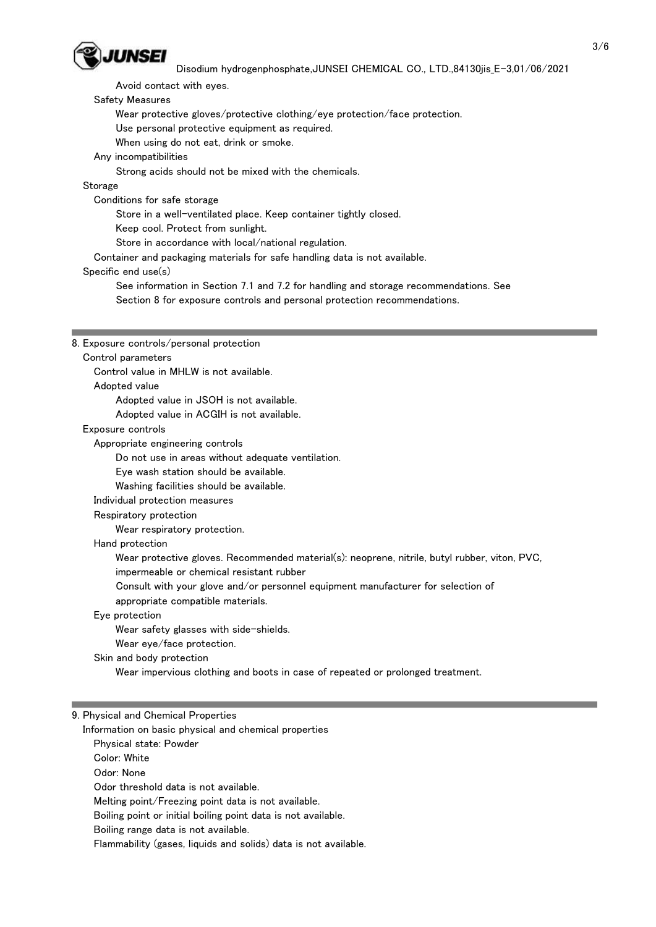

Avoid contact with eyes.

### Safety Measures

Wear protective gloves/protective clothing/eye protection/face protection.

Use personal protective equipment as required.

When using do not eat, drink or smoke.

## Any incompatibilities

Strong acids should not be mixed with the chemicals.

## Storage

Conditions for safe storage

Store in a well-ventilated place. Keep container tightly closed.

Keep cool. Protect from sunlight.

Store in accordance with local/national regulation.

Container and packaging materials for safe handling data is not available.

#### Specific end use(s)

 See information in Section 7.1 and 7.2 for handling and storage recommendations. See Section 8 for exposure controls and personal protection recommendations.

#### 8. Exposure controls/personal protection

#### Control parameters

Control value in MHLW is not available.

#### Adopted value

Adopted value in JSOH is not available.

Adopted value in ACGIH is not available.

#### Exposure controls

Appropriate engineering controls

Do not use in areas without adequate ventilation.

Eye wash station should be available.

Washing facilities should be available.

#### Individual protection measures

Respiratory protection

Wear respiratory protection.

#### Hand protection

Wear protective gloves. Recommended material(s): neoprene, nitrile, butyl rubber, viton, PVC,

impermeable or chemical resistant rubber

Consult with your glove and/or personnel equipment manufacturer for selection of

appropriate compatible materials.

## Eye protection

Wear safety glasses with side-shields.

Wear eye/face protection.

Skin and body protection

Wear impervious clothing and boots in case of repeated or prolonged treatment.

#### 9. Physical and Chemical Properties

Information on basic physical and chemical properties

Physical state: Powder

Color: White

Odor: None

Odor threshold data is not available.

Melting point/Freezing point data is not available.

Boiling point or initial boiling point data is not available.

Boiling range data is not available.

Flammability (gases, liquids and solids) data is not available.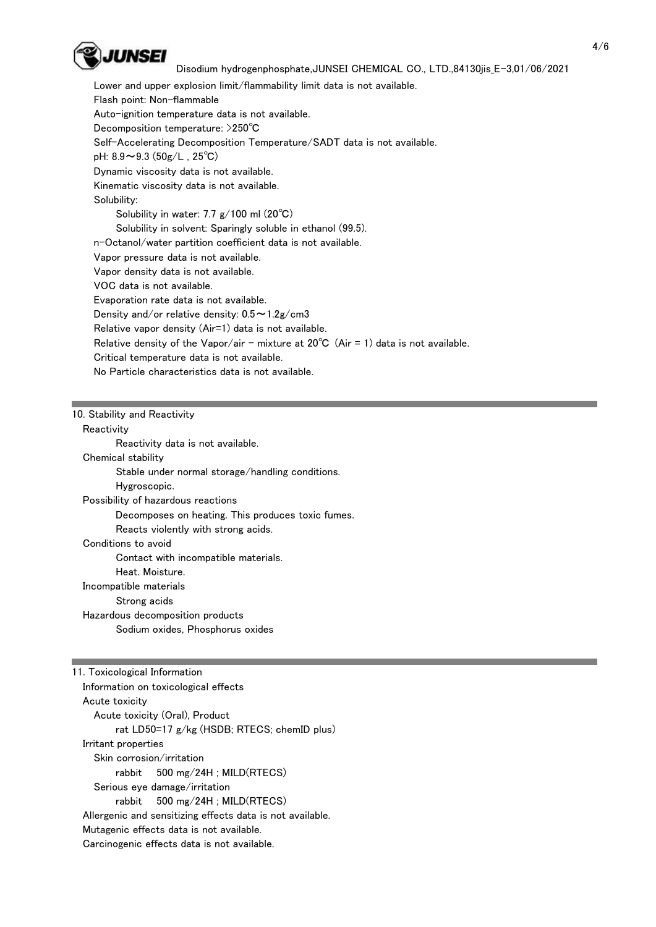

 Lower and upper explosion limit/flammability limit data is not available. Flash point: Non-flammable Auto-ignition temperature data is not available. Decomposition temperature: >250℃ Self-Accelerating Decomposition Temperature/SADT data is not available. pH:  $8.9 \sim 9.3$  ( $50g/L$ ,  $25^{\circ}C$ ) Dynamic viscosity data is not available. Kinematic viscosity data is not available. Solubility: Solubility in water: 7.7 g/100 ml (20℃) Solubility in solvent: Sparingly soluble in ethanol (99.5). n-Octanol/water partition coefficient data is not available. Vapor pressure data is not available. Vapor density data is not available. VOC data is not available. Evaporation rate data is not available. Density and/or relative density:  $0.5 \sim 1.2$ g/cm3 Relative vapor density (Air=1) data is not available. Relative density of the Vapor/air - mixture at  $20^{\circ}C$  (Air = 1) data is not available. Critical temperature data is not available.

No Particle characteristics data is not available.

#### 10. Stability and Reactivity

**Reactivity** 

 Reactivity data is not available. Chemical stability Stable under normal storage/handling conditions. Hygroscopic. Possibility of hazardous reactions Decomposes on heating. This produces toxic fumes. Reacts violently with strong acids. Conditions to avoid Contact with incompatible materials. Heat. Moisture. Incompatible materials Strong acids Hazardous decomposition products Sodium oxides, Phosphorus oxides

11. Toxicological Information Information on toxicological effects Acute toxicity Acute toxicity (Oral), Product rat LD50=17 g/kg (HSDB; RTECS; chemID plus) Irritant properties Skin corrosion/irritation rabbit 500 mg/24H ; MILD(RTECS) Serious eye damage/irritation rabbit 500 mg/24H ; MILD(RTECS) Allergenic and sensitizing effects data is not available. Mutagenic effects data is not available. Carcinogenic effects data is not available.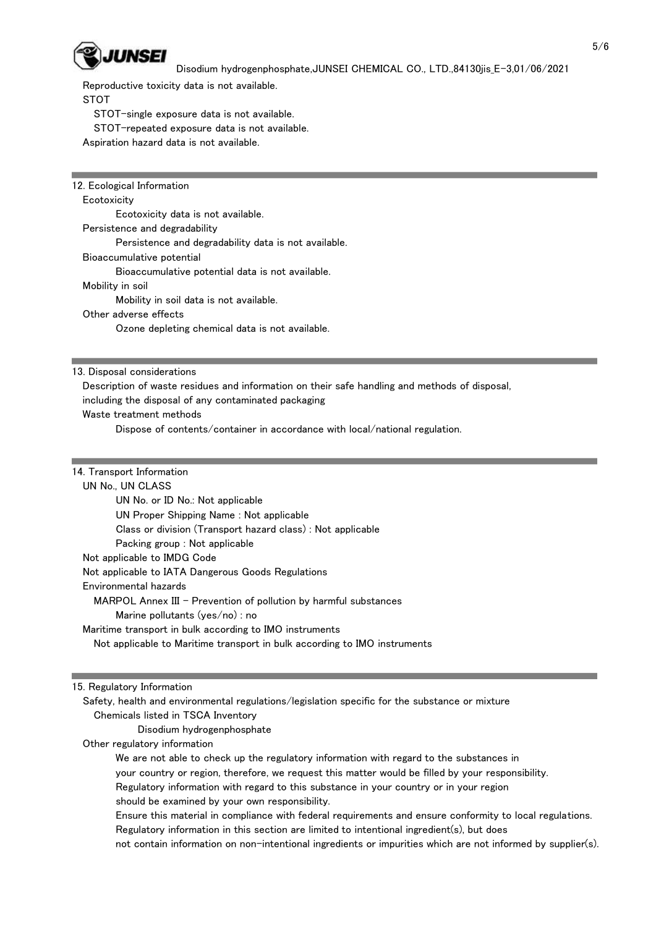

Reproductive toxicity data is not available.

STOT

STOT-single exposure data is not available.

STOT-repeated exposure data is not available.

Aspiration hazard data is not available.

12. Ecological Information **Ecotoxicity**  Ecotoxicity data is not available. Persistence and degradability Persistence and degradability data is not available. Bioaccumulative potential Bioaccumulative potential data is not available. Mobility in soil Mobility in soil data is not available. Other adverse effects Ozone depleting chemical data is not available.

13. Disposal considerations

Description of waste residues and information on their safe handling and methods of disposal,

including the disposal of any contaminated packaging

Waste treatment methods

Dispose of contents/container in accordance with local/national regulation.

14. Transport Information

## UN No., UN CLASS

 UN No. or ID No.: Not applicable UN Proper Shipping Name : Not applicable Class or division (Transport hazard class) : Not applicable Packing group : Not applicable Not applicable to IMDG Code Not applicable to IATA Dangerous Goods Regulations Environmental hazards MARPOL Annex III - Prevention of pollution by harmful substances Marine pollutants (yes/no) : no Maritime transport in bulk according to IMO instruments Not applicable to Maritime transport in bulk according to IMO instruments

15. Regulatory Information

 Safety, health and environmental regulations/legislation specific for the substance or mixture Chemicals listed in TSCA Inventory

Disodium hydrogenphosphate

Other regulatory information

 We are not able to check up the regulatory information with regard to the substances in your country or region, therefore, we request this matter would be filled by your responsibility. Regulatory information with regard to this substance in your country or in your region

should be examined by your own responsibility.

 Ensure this material in compliance with federal requirements and ensure conformity to local regulations. Regulatory information in this section are limited to intentional ingredient(s), but does

not contain information on non-intentional ingredients or impurities which are not informed by supplier(s).